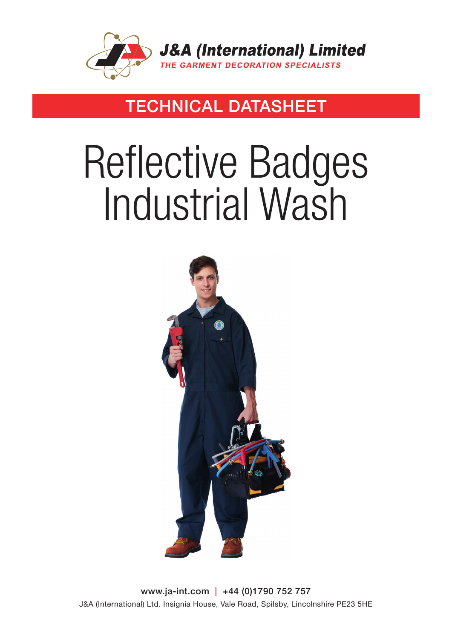

### TECHNICAL DATASHEET

# Reflective Badges Industrial Wash



www.ja-int.com | +44 (0)1790 752 757 J&A (International) Ltd. Insignia House, Vale Road, Spilsby, Lincolnshire PE23 5HE